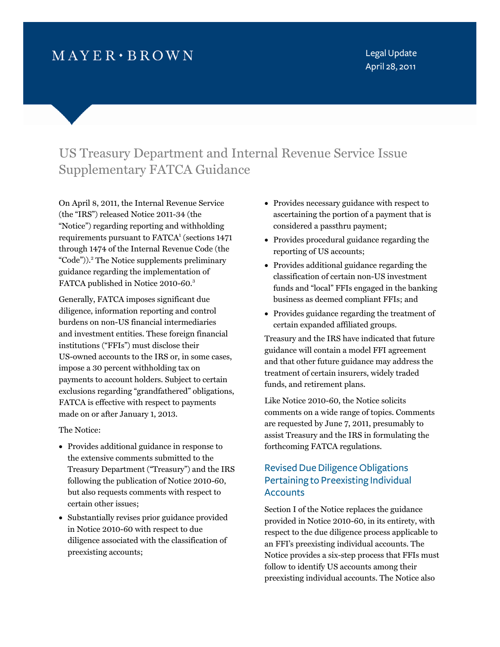# $MAYER \cdot BROWN$

Legal Update April 28, 2011

# US Treasury Department and Internal Revenue Service Issue Supplementary FATCA Guidance

On April 8, 2011, the Internal Revenue Service (the "IRS") released Notice 2011-34 (the "Notice") regarding reporting and withholding requirements pursuant to FATCA<sup>1</sup> (sections 1471 through 1474 of the Internal Revenue Code (the "Code")).<sup>2</sup> The Notice supplements preliminary guidance regarding the implementation of FATCA published in Notice 2010-60.<sup>3</sup>

Generally, FATCA imposes significant due diligence, information reporting and control burdens on non-US financial intermediaries and investment entities. These foreign financial institutions ("FFIs") must disclose their US-owned accounts to the IRS or, in some cases, impose a 30 percent withholding tax on payments to account holders. Subject to certain exclusions regarding "grandfathered" obligations, FATCA is effective with respect to payments made on or after January 1, 2013.

The Notice:

- Provides additional guidance in response to the extensive comments submitted to the Treasury Department ("Treasury") and the IRS following the publication of Notice 2010-60, but also requests comments with respect to certain other issues;
- Substantially revises prior guidance provided in Notice 2010-60 with respect to due diligence associated with the classification of preexisting accounts;
- Provides necessary guidance with respect to ascertaining the portion of a payment that is considered a passthru payment;
- Provides procedural guidance regarding the reporting of US accounts;
- Provides additional guidance regarding the classification of certain non-US investment funds and "local" FFIs engaged in the banking business as deemed compliant FFIs; and
- Provides guidance regarding the treatment of certain expanded affiliated groups.

Treasury and the IRS have indicated that future guidance will contain a model FFI agreement and that other future guidance may address the treatment of certain insurers, widely traded funds, and retirement plans.

Like Notice 2010-60, the Notice solicits comments on a wide range of topics. Comments are requested by June 7, 2011, presumably to assist Treasury and the IRS in formulating the forthcoming FATCA regulations.

# Revised Due Diligence Obligations Pertaining to Preexisting Individual **Accounts**

Section I of the Notice replaces the guidance provided in Notice 2010-60, in its entirety, with respect to the due diligence process applicable to an FFI's preexisting individual accounts. The Notice provides a six-step process that FFIs must follow to identify US accounts among their preexisting individual accounts. The Notice also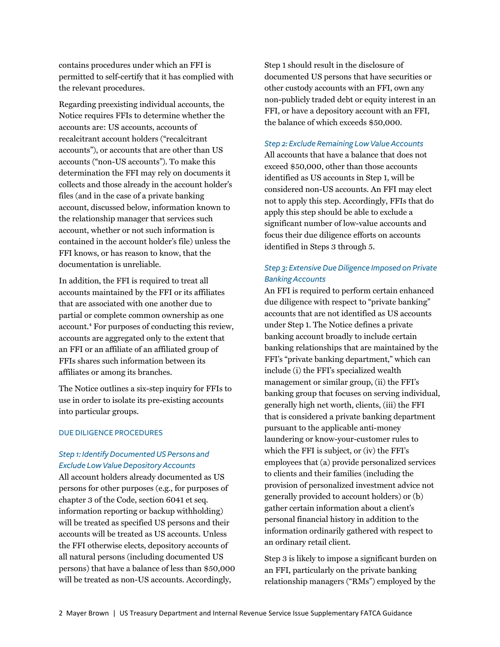contains procedures under which an FFI is permitted to self-certify that it has complied with the relevant procedures.

Regarding preexisting individual accounts, the Notice requires FFIs to determine whether the accounts are: US accounts, accounts of recalcitrant account holders ("recalcitrant accounts"), or accounts that are other than US accounts ("non-US accounts"). To make this determination the FFI may rely on documents it collects and those already in the account holder's files (and in the case of a private banking account, discussed below, information known to the relationship manager that services such account, whether or not such information is contained in the account holder's file) unless the FFI knows, or has reason to know, that the documentation is unreliable.

In addition, the FFI is required to treat all accounts maintained by the FFI or its affiliates that are associated with one another due to partial or complete common ownership as one account.<sup>4</sup> [Fo](#page-7-0)r purposes of conducting this review, accounts are aggregated only to the extent that an FFI or an affiliate of an affiliated group of FFIs shares such information between its affiliates or among its branches.

The Notice outlines a six-step inquiry for FFIs to use in order to isolate its pre-existing accounts into particular groups.

### DUE DILIGENCE PROCEDURES

### *Step 1: Identify Documented US Persons and Exclude Low Value Depository Accounts*

All account holders already documented as US persons for other purposes (e.g., for purposes of chapter 3 of the Code, section 6041 et seq. information reporting or backup withholding) will be treated as specified US persons and their accounts will be treated as US accounts. Unless the FFI otherwise elects, depository accounts of all natural persons (including documented US persons) that have a balance of less than \$50,000 will be treated as non-US accounts. Accordingly,

Step 1 should result in the disclosure of documented US persons that have securities or other custody accounts with an FFI, own any non-publicly traded debt or equity interest in an FFI, or have a depository account with an FFI, the balance of which exceeds \$50,000.

### *Step 2: Exclude Remaining Low Value Accounts*

All accounts that have a balance that does not exceed \$50,000, other than those accounts identified as US accounts in Step 1, will be considered non-US accounts. An FFI may elect not to apply this step. Accordingly, FFIs that do apply this step should be able to exclude a significant number of low-value accounts and focus their due diligence efforts on accounts identified in Steps 3 through 5.

## *Step 3: Extensive Due Diligence Imposed on Private Banking Accounts*

An FFI is required to perform certain enhanced due diligence with respect to "private banking" accounts that are not identified as US accounts under Step 1. The Notice defines a private banking account broadly to include certain banking relationships that are maintained by the FFI's "private banking department," which can include (i) the FFI's specialized wealth management or similar group, (ii) the FFI's banking group that focuses on serving individual, generally high net worth, clients, (iii) the FFI that is considered a private banking department pursuant to the applicable anti-money laundering or know-your-customer rules to which the FFI is subject, or (iv) the FFI's employees that (a) provide personalized services to clients and their families (including the provision of personalized investment advice not generally provided to account holders) or (b) gather certain information about a client's personal financial history in addition to the information ordinarily gathered with respect to an ordinary retail client.

Step 3 is likely to impose a significant burden on an FFI, particularly on the private banking relationship managers ("RMs") employed by the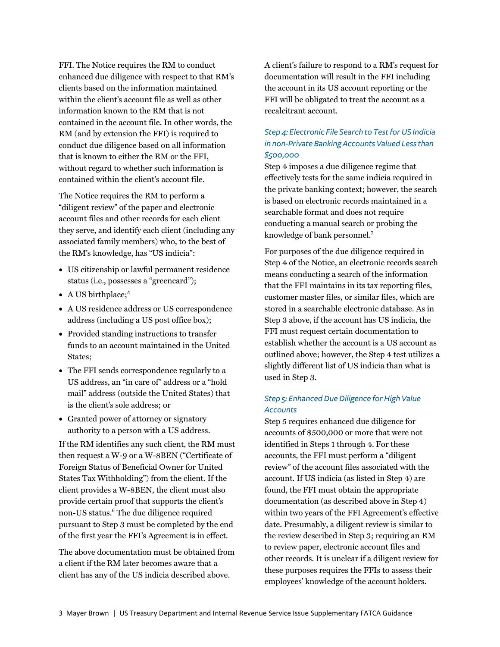FFI. The Notice requires the RM to conduct enhanced due diligence with respect to that RM's clients based on the information maintained within the client's account file as well as other information known to the RM that is not contained in the account file. In other words, the RM (and by extension the FFI) is required to conduct due diligence based on all information that is known to either the RM or the FFI, without regard to whether such information is contained within the client's account file.

The Notice requires the RM to perform a "diligent review" of the paper and electronic account files and other records for each client they serve, and identify each client (including any associated family members) who, to the best of the RM's knowledge, has "US indicia":

- US citizenship or lawful permanent residence status (i.e., possesses a "greencard");
- $\bullet$  A US birthplace;<sup>5</sup>
- A US residence address or US correspondence address (including a US post office box);
- Provided standing instructions to transfer funds to an account maintained in the United States;
- The FFI sends correspondence regularly to a US address, an "in care of" address or a "hold mail" address (outside the United States) that is the client's sole address; or
- Granted power of attorney or signatory authority to a person with a US address.

If the RM identifies any such client, the RM must then request a W-9 or a W-8BEN ("Certificate of Foreign Status of Beneficial Owner for United States Tax Withholding") from the client. If the client provides a W-8BEN, the client must also provide certain proof that supports the client's non-US status.<sup>6</sup> The due diligence required pursuant to Step 3 must be completed by the end of the first year the FFI's Agreement is in effect.

The above documentation must be obtained from a client if the RM later becomes aware that a client has any of the US indicia described above.

A client's failure to respond to a RM's request for documentation will result in the FFI including the account in its US account reporting or the FFI will be obligated to treat the account as a recalcitrant account.

# *Step 4: Electronic File Search to Test for US Indicia in non-Private Banking Accounts Valued Less than \$500,000*

Step 4 imposes a due diligence regime that effectively tests for the same indicia required in the private banking context; however, the search is based on electronic records maintained in a searchable format and does not require conducting a manual search or probing the knowledge of bank personnel.<sup>7</sup>

For purposes of the due diligence required in Step 4 of the Notice, an electronic records search means conducting a search of the information that the FFI maintains in its tax reporting files, customer master files, or similar files, which are stored in a searchable electronic database. As in Step 3 above, if the account has US indicia, the FFI must request certain documentation to establish whether the account is a US account as outlined above; however, the Step 4 test utilizes a slightly different list of US indicia than what is used in Step 3.

### *Step 5: Enhanced Due Diligence for High Value Accounts*

Step 5 requires enhanced due diligence for accounts of \$500,000 or more that were not identified in Steps 1 through 4. For these accounts, the FFI must perform a "diligent review" of the account files associated with the account. If US indicia (as listed in Step 4) are found, the FFI must obtain the appropriate documentation (as described above in Step 4) within two years of the FFI Agreement's effective date. Presumably, a diligent review is similar to the review described in Step 3; requiring an RM to review paper, electronic account files and other records. It is unclear if a diligent review for these purposes requires the FFIs to assess their employees' knowledge of the account holders.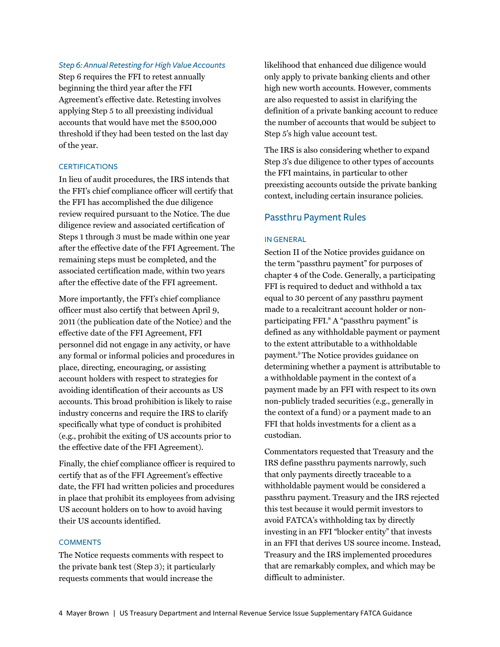### *Step 6: Annual Retesting for High Value Accounts*

Step 6 requires the FFI to retest annually beginning the third year after the FFI Agreement's effective date. Retesting involves applying Step 5 to all preexisting individual accounts that would have met the \$500,000 threshold if they had been tested on the last day of the year.

### **CERTIFICATIONS**

In lieu of audit procedures, the IRS intends that the FFI's chief compliance officer will certify that the FFI has accomplished the due diligence review required pursuant to the Notice. The due diligence review and associated certification of Steps 1 through 3 must be made within one year after the effective date of the FFI Agreement. The remaining steps must be completed, and the associated certification made, within two years after the effective date of the FFI agreement.

More importantly, the FFI's chief compliance officer must also certify that between April 9, 2011 (the publication date of the Notice) and the effective date of the FFI Agreement, FFI personnel did not engage in any activity, or have any formal or informal policies and procedures in place, directing, encouraging, or assisting account holders with respect to strategies for avoiding identification of their accounts as US accounts. This broad prohibition is likely to raise industry concerns and require the IRS to clarify specifically what type of conduct is prohibited (e.g., prohibit the exiting of US accounts prior to the effective date of the FFI Agreement).

Finally, the chief compliance officer is required to certify that as of the FFI Agreement's effective date, the FFI had written policies and procedures in place that prohibit its employees from advising US account holders on to how to avoid having their US accounts identified.

### **COMMENTS**

The Notice requests comments with respect to the private bank test (Step 3); it particularly requests comments that would increase the

likelihood that enhanced due diligence would only apply to private banking clients and other high new worth accounts. However, comments are also requested to assist in clarifying the definition of a private banking account to reduce the number of accounts that would be subject to Step 5's high value account test.

The IRS is also considering whether to expand Step 3's due diligence to other types of accounts the FFI maintains, in particular to other preexisting accounts outside the private banking context, including certain insurance policies.

### Passthru Payment Rules

#### IN GENERAL

Section II of the Notice provides guidance on the term "passthru payment" for purposes of chapter 4 of the Code. Generally, a participating FFI is required to deduct and withhold a tax equal to 30 percent of any passthru payment made to a recalcitrant account holder or nonparticipating FFI.<sup>8</sup> A "passthru payment" is defined as any withholdable payment or payment to the extent attributable to a withholdable payme[nt.9 Th](#page-7-0)e Notice provides guidance on determining whether a payment is attributable to a withholdable payment in the context of a payment made by an FFI with respect to its own non-publicly traded securities (e.g., generally in the context of a fund) or a payment made to an FFI that holds investments for a client as a custodian.

Commentators requested that Treasury and the IRS define passthru payments narrowly, such that only payments directly traceable to a withholdable payment would be considered a passthru payment. Treasury and the IRS rejected this test because it would permit investors to avoid FATCA's withholding tax by directly investing in an FFI "blocker entity" that invests in an FFI that derives US source income. Instead, Treasury and the IRS implemented procedures that are remarkably complex, and which may be difficult to administer.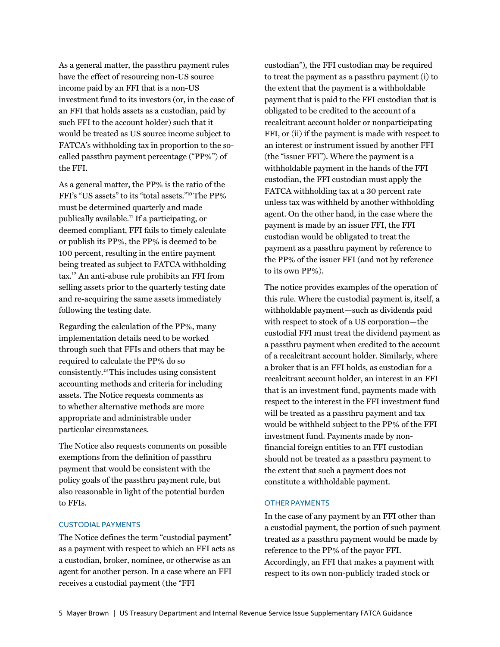As a general matter, the passthru payment rules have the effect of resourcing non-US source income paid by an FFI that is a non-US investment fund to its investors (or, in the case of an FFI that holds assets as a custodian, paid by such FFI to the account holder) such that it would be treated as US source income subject to FATCA's withholding tax in proportion to the socalled passthru payment percentage ("PP%") of the FFI.

As a general matter, the PP% is the ratio of the FFI's "US assets" to its "total asset[s."10 T](#page-7-0)he PP% must be determined quarterly and made publically available[.11 I](#page-7-0)f a participating, or deemed compliant, FFI fails to timely calculate or publish its PP%, the PP% is deemed to be 100 percent, resulting in the entire payment being treated as subject to FATCA withholding ta[x.12 A](#page-7-0)n anti-abuse rule prohibits an FFI from selling assets prior to the quarterly testing date and re-acquiring the same assets immediately following the testing date.

Regarding the calculation of the PP%, many implementation details need to be worked through such that FFIs and others that may be required to calculate the PP% do so consistent[ly.13 Th](#page-7-0)is includes using consistent accounting methods and criteria for including assets. The Notice requests comments as to whether alternative methods are more appropriate and administrable under particular circumstances.

The Notice also requests comments on possible exemptions from the definition of passthru payment that would be consistent with the policy goals of the passthru payment rule, but also reasonable in light of the potential burden to FFIs.

### CUSTODIAL PAYMENTS

The Notice defines the term "custodial payment" as a payment with respect to which an FFI acts as a custodian, broker, nominee, or otherwise as an agent for another person. In a case where an FFI receives a custodial payment (the "FFI

custodian"), the FFI custodian may be required to treat the payment as a passthru payment (i) to the extent that the payment is a withholdable payment that is paid to the FFI custodian that is obligated to be credited to the account of a recalcitrant account holder or nonparticipating FFI, or (ii) if the payment is made with respect to an interest or instrument issued by another FFI (the "issuer FFI"). Where the payment is a withholdable payment in the hands of the FFI custodian, the FFI custodian must apply the FATCA withholding tax at a 30 percent rate unless tax was withheld by another withholding agent. On the other hand, in the case where the payment is made by an issuer FFI, the FFI custodian would be obligated to treat the payment as a passthru payment by reference to the PP% of the issuer FFI (and not by reference to its own PP%).

The notice provides examples of the operation of this rule. Where the custodial payment is, itself, a withholdable payment—such as dividends paid with respect to stock of a US corporation—the custodial FFI must treat the dividend payment as a passthru payment when credited to the account of a recalcitrant account holder. Similarly, where a broker that is an FFI holds, as custodian for a recalcitrant account holder, an interest in an FFI that is an investment fund, payments made with respect to the interest in the FFI investment fund will be treated as a passthru payment and tax would be withheld subject to the PP% of the FFI investment fund. Payments made by nonfinancial foreign entities to an FFI custodian should not be treated as a passthru payment to the extent that such a payment does not constitute a withholdable payment.

### OTHER PAYMENTS

In the case of any payment by an FFI other than a custodial payment, the portion of such payment treated as a passthru payment would be made by reference to the PP% of the payor FFI. Accordingly, an FFI that makes a payment with respect to its own non-publicly traded stock or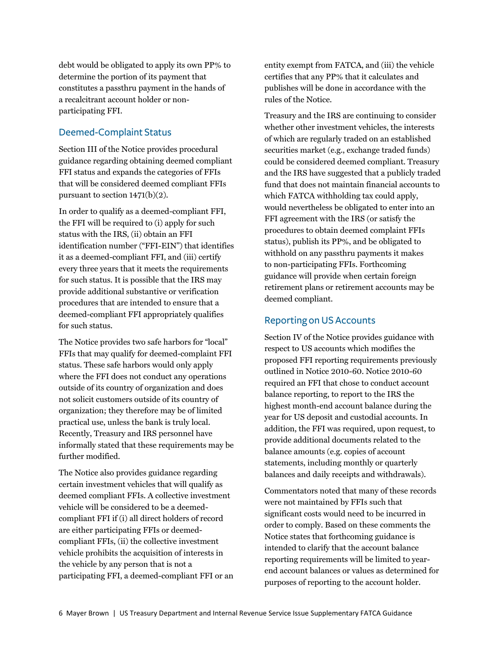debt would be obligated to apply its own PP% to determine the portion of its payment that constitutes a passthru payment in the hands of a recalcitrant account holder or nonparticipating FFI.

## Deemed-Complaint Status

Section III of the Notice provides procedural guidance regarding obtaining deemed compliant FFI status and expands the categories of FFIs that will be considered deemed compliant FFIs pursuant to section 1471(b)(2).

In order to qualify as a deemed-compliant FFI, the FFI will be required to (i) apply for such status with the IRS, (ii) obtain an FFI identification number ("FFI-EIN") that identifies it as a deemed-compliant FFI, and (iii) certify every three years that it meets the requirements for such status. It is possible that the IRS may provide additional substantive or verification procedures that are intended to ensure that a deemed-compliant FFI appropriately qualifies for such status.

The Notice provides two safe harbors for "local" FFIs that may qualify for deemed-complaint FFI status. These safe harbors would only apply where the FFI does not conduct any operations outside of its country of organization and does not solicit customers outside of its country of organization; they therefore may be of limited practical use, unless the bank is truly local. Recently, Treasury and IRS personnel have informally stated that these requirements may be further modified.

The Notice also provides guidance regarding certain investment vehicles that will qualify as deemed compliant FFIs. A collective investment vehicle will be considered to be a deemedcompliant FFI if (i) all direct holders of record are either participating FFIs or deemedcompliant FFIs, (ii) the collective investment vehicle prohibits the acquisition of interests in the vehicle by any person that is not a participating FFI, a deemed-compliant FFI or an

entity exempt from FATCA, and (iii) the vehicle certifies that any PP% that it calculates and publishes will be done in accordance with the rules of the Notice.

Treasury and the IRS are continuing to consider whether other investment vehicles, the interests of which are regularly traded on an established securities market (e.g., exchange traded funds) could be considered deemed compliant. Treasury and the IRS have suggested that a publicly traded fund that does not maintain financial accounts to which FATCA withholding tax could apply, would nevertheless be obligated to enter into an FFI agreement with the IRS (or satisfy the procedures to obtain deemed complaint FFIs status), publish its PP%, and be obligated to withhold on any passthru payments it makes to non-participating FFIs. Forthcoming guidance will provide when certain foreign retirement plans or retirement accounts may be deemed compliant.

# Reporting on US Accounts

Section IV of the Notice provides guidance with respect to US accounts which modifies the proposed FFI reporting requirements previously outlined in Notice 2010-60. Notice 2010-60 required an FFI that chose to conduct account balance reporting, to report to the IRS the highest month-end account balance during the year for US deposit and custodial accounts. In addition, the FFI was required, upon request, to provide additional documents related to the balance amounts (e.g. copies of account statements, including monthly or quarterly balances and daily receipts and withdrawals).

Commentators noted that many of these records were not maintained by FFIs such that significant costs would need to be incurred in order to comply. Based on these comments the Notice states that forthcoming guidance is intended to clarify that the account balance reporting requirements will be limited to yearend account balances or values as determined for purposes of reporting to the account holder.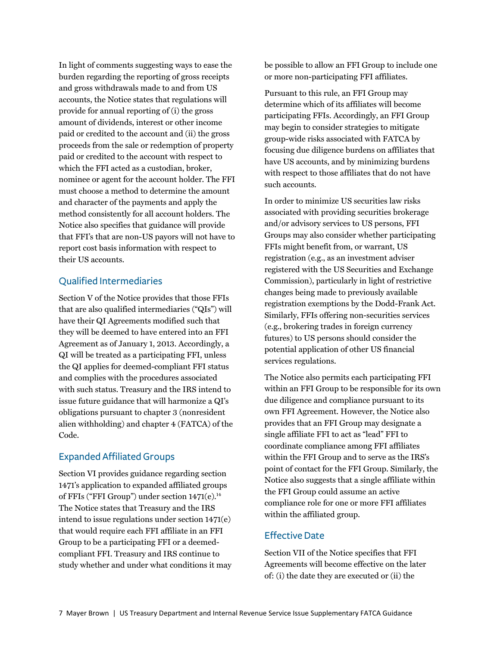In light of comments suggesting ways to ease the burden regarding the reporting of gross receipts and gross withdrawals made to and from US accounts, the Notice states that regulations will provide for annual reporting of (i) the gross amount of dividends, interest or other income paid or credited to the account and (ii) the gross proceeds from the sale or redemption of property paid or credited to the account with respect to which the FFI acted as a custodian, broker, nominee or agent for the account holder. The FFI must choose a method to determine the amount and character of the payments and apply the method consistently for all account holders. The Notice also specifies that guidance will provide that FFI's that are non-US payors will not have to report cost basis information with respect to their US accounts.

## Qualified Intermediaries

Section V of the Notice provides that those FFIs that are also qualified intermediaries ("QIs") will have their QI Agreements modified such that they will be deemed to have entered into an FFI Agreement as of January 1, 2013. Accordingly, a QI will be treated as a participating FFI, unless the QI applies for deemed-compliant FFI status and complies with the procedures associated with such status. Treasury and the IRS intend to issue future guidance that will harmonize a QI's obligations pursuant to chapter 3 (nonresident alien withholding) and chapter 4 (FATCA) of the Code.

# Expanded Affiliated Groups

Section VI provides guidance regarding section 1471's application to expanded affiliated groups of FFIs ("FFI Group") under section 1471(e).<sup>14</sup> The Notice states that Treasury and the IRS intend to issue regulations under section 1471(e) that would require each FFI affiliate in an FFI Group to be a participating FFI or a deemedcompliant FFI. Treasury and IRS continue to study whether and under what conditions it may be possible to allow an FFI Group to include one or more non-participating FFI affiliates.

Pursuant to this rule, an FFI Group may determine which of its affiliates will become participating FFIs. Accordingly, an FFI Group may begin to consider strategies to mitigate group-wide risks associated with FATCA by focusing due diligence burdens on affiliates that have US accounts, and by minimizing burdens with respect to those affiliates that do not have such accounts.

In order to minimize US securities law risks associated with providing securities brokerage and/or advisory services to US persons, FFI Groups may also consider whether participating FFIs might benefit from, or warrant, US registration (e.g., as an investment adviser registered with the US Securities and Exchange Commission), particularly in light of restrictive changes being made to previously available registration exemptions by the Dodd-Frank Act. Similarly, FFIs offering non-securities services (e.g., brokering trades in foreign currency futures) to US persons should consider the potential application of other US financial services regulations.

The Notice also permits each participating FFI within an FFI Group to be responsible for its own due diligence and compliance pursuant to its own FFI Agreement. However, the Notice also provides that an FFI Group may designate a single affiliate FFI to act as "lead" FFI to coordinate compliance among FFI affiliates within the FFI Group and to serve as the IRS's point of contact for the FFI Group. Similarly, the Notice also suggests that a single affiliate within the FFI Group could assume an active compliance role for one or more FFI affiliates within the affiliated group.

### Effective Date

Section VII of the Notice specifies that FFI Agreements will become effective on the later of: (i) the date they are executed or (ii) the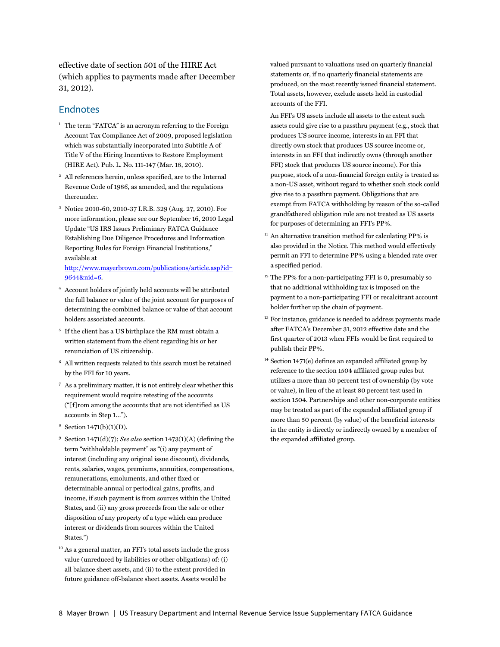<span id="page-7-0"></span>effective date of section 501 of the HIRE Act (which applies to payments made after December 31, 2012).

# Endnotes

- <sup>1</sup> The term "FATCA" is an acronym referring to the Foreign Account Tax Compliance Act of 2009, proposed legislation which was substantially incorporated into Subtitle A of Title V of the Hiring Incentives to Restore Employment (HIRE Act). Pub. L. No. 111-147 (Mar. 18, 2010).
- 2 All references herein, unless specified, are to the Internal Revenue Code of 1986, as amended, and the regulations thereunder.
- 3 Notice 2010-60, 2010-37 I.R.B. 329 (Aug. 27, 2010). For more information, please see our September 16, 2010 Legal Update "US IRS Issues Preliminary FATCA Guidance Establishing Due Diligence Procedures and Information Reporting Rules for Foreign Financial Institutions," available at

[http://www.mayerbrown.com/publications/article.asp?id=](http://www.mayerbrown.com/publications/article.asp?id=9644&nid=6) 9644&nid=6.

- 4 Account holders of jointly held accounts will be attributed the full balance or value of the joint account for purposes of determining the combined balance or value of that account holders associated accounts.
- 5 If the client has a US birthplace the RM must obtain a written statement from the client regarding his or her renunciation of US citizenship.
- 6 All written requests related to this search must be retained by the FFI for 10 years.
- 7 As a preliminary matter, it is not entirely clear whether this requirement would require retesting of the accounts ("[f]rom among the accounts that are not identified as US accounts in Step 1…").
- 8 Section 1471(b)(1)(D).
- <sup>9</sup> Section 1471(d)(7); *See also* section 1473(1)(A) (defining the term "withholdable payment" as "(i) any payment of interest (including any original issue discount), dividends, rents, salaries, wages, premiums, annuities, compensations, remunerations, emoluments, and other fixed or determinable annual or periodical gains, profits, and income, if such payment is from sources within the United States, and (ii) any gross proceeds from the sale or other disposition of any property of a type which can produce interest or dividends from sources within the United States.")
- 10 As a general matter, an FFI's total assets include the gross value (unreduced by liabilities or other obligations) of: (i) all balance sheet assets, and (ii) to the extent provided in future guidance off-balance sheet assets. Assets would be

valued pursuant to valuations used on quarterly financial statements or, if no quarterly financial statements are produced, on the most recently issued financial statement. Total assets, however, exclude assets held in custodial accounts of the FFI.

 An FFI's US assets include all assets to the extent such assets could give rise to a passthru payment (e.g., stock that produces US source income, interests in an FFI that directly own stock that produces US source income or, interests in an FFI that indirectly owns (through another FFI) stock that produces US source income). For this purpose, stock of a non-financial foreign entity is treated as a non-US asset, without regard to whether such stock could give rise to a passthru payment. Obligations that are exempt from FATCA withholding by reason of the so-called grandfathered obligation rule are not treated as US assets for purposes of determining an FFI's PP%.

- $11$  An alternative transition method for calculating PP% is also provided in the Notice. This method would effectively permit an FFI to determine PP% using a blended rate over a specified period.
- <sup>12</sup> The PP% for a non-participating FFI is 0, presumably so that no additional withholding tax is imposed on the payment to a non-participating FFI or recalcitrant account holder further up the chain of payment.
- $13$  For instance, guidance is needed to address payments made after FATCA's December 31, 2012 effective date and the first quarter of 2013 when FFIs would be first required to publish their PP%.
- $14$  Section 1471(e) defines an expanded affiliated group by reference to the section 1504 affiliated group rules but utilizes a more than 50 percent test of ownership (by vote or value), in lieu of the at least 80 percent test used in section 1504. Partnerships and other non-corporate entities may be treated as part of the expanded affiliated group if more than 50 percent (by value) of the beneficial interests in the entity is directly or indirectly owned by a member of the expanded affiliated group.